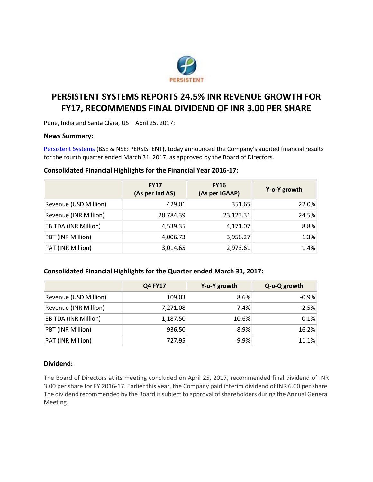

# **PERSISTENT SYSTEMS REPORTS 24.5% INR REVENUE GROWTH FOR FY17, RECOMMENDS FINAL DIVIDEND OF INR 3.00 PER SHARE**

Pune, India and Santa Clara, US – April 25, 2017:

## **News Summary:**

[Persistent Systems](http://www.persistent.com/) (BSE & NSE: PERSISTENT), today announced the Company's audited financial results for the fourth quarter ended March 31, 2017, as approved by the Board of Directors.

## **Consolidated Financial Highlights for the Financial Year 2016-17:**

|                             | <b>FY17</b><br>(As per Ind AS) | <b>FY16</b><br>(As per IGAAP) | Y-o-Y growth |
|-----------------------------|--------------------------------|-------------------------------|--------------|
| Revenue (USD Million)       | 429.01                         | 351.65                        | 22.0%        |
| Revenue (INR Million)       | 28,784.39                      | 23,123.31                     | 24.5%        |
| <b>EBITDA (INR Million)</b> | 4,539.35                       | 4,171.07                      | 8.8%         |
| PBT (INR Million)           | 4,006.73                       | 3,956.27                      | 1.3%         |
| PAT (INR Million)           | 3,014.65                       | 2,973.61                      | 1.4%         |

# **Consolidated Financial Highlights for the Quarter ended March 31, 2017:**

|                             | <b>Q4 FY17</b> | Y-o-Y growth | Q-o-Q growth |
|-----------------------------|----------------|--------------|--------------|
| Revenue (USD Million)       | 109.03         | 8.6%         | $-0.9%$      |
| Revenue (INR Million)       | 7,271.08       | 7.4%         | $-2.5%$      |
| <b>EBITDA (INR Million)</b> | 1,187.50       | 10.6%        | 0.1%         |
| PBT (INR Million)           | 936.50         | $-8.9%$      | $-16.2%$     |
| PAT (INR Million)           | 727.95         | $-9.9%$      | $-11.1%$     |

#### **Dividend:**

The Board of Directors at its meeting concluded on April 25, 2017, recommended final dividend of INR 3.00 per share for FY 2016-17. Earlier this year, the Company paid interim dividend of INR 6.00 per share. The dividend recommended by the Board is subject to approval of shareholders during the Annual General Meeting.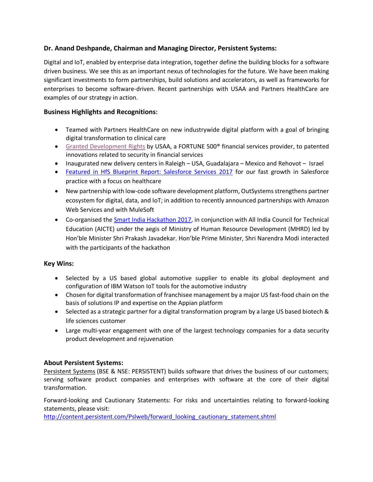# **Dr. Anand Deshpande, Chairman and Managing Director, Persistent Systems:**

Digital and IoT, enabled by enterprise data integration, together define the building blocks for a software driven business. We see this as an important nexus of technologies for the future. We have been making significant investments to form partnerships, build solutions and accelerators, as well as frameworks for enterprises to become software-driven. Recent partnerships with USAA and Partners HealthCare are examples of our strategy in action.

# **Business Highlights and Recognitions:**

- Teamed with Partners HealthCare on new industrywide digital platform with a goal of bringing digital transformation to clinical care
- [Granted Development Rights](https://www.persistent.com/media/press-releases/persistent-systems-granted-development-rights-by-usaa/) by USAA, a FORTUNE 500® financial services provider, to patented innovations related to security in financial services
- Inaugurated new delivery centers in Raleigh USA, Guadalajara Mexico and Rehovot Israel
- [Featured in HfS Blueprint Report: Salesforce Services 2017](https://www.persistent.com/hfs-report-attests-to-persistents-growing-momentum-in-salesforce-ecosystem/) for our fast growth in Salesforce practice with a focus on healthcare
- New partnership with low-code software development platform, OutSystems strengthens partner ecosystem for digital, data, and IoT; in addition to recently announced partnerships with Amazon Web Services and with MuleSoft
- Co-organised the [Smart India Hackathon 2017,](https://innovate.mygov.in/sih2017/) in conjunction with All India Council for Technical Education (AICTE) under the aegis of Ministry of Human Resource Development (MHRD) led by Hon'ble Minister Shri Prakash Javadekar. Hon'ble Prime Minister, Shri Narendra Modi interacted with the participants of the hackathon

# **Key Wins:**

- Selected by a US based global automotive supplier to enable its global deployment and configuration of IBM Watson IoT tools for the automotive industry
- Chosen for digital transformation of franchisee management by a major US fast-food chain on the basis of solutions IP and expertise on the Appian platform
- Selected as a strategic partner for a digital transformation program by a large US based biotech & life sciences customer
- Large multi-year engagement with one of the largest technology companies for a data security product development and rejuvenation

# **About Persistent Systems:**

[Persistent Systems](http://www.persistent.com/) (BSE & NSE: PERSISTENT) builds software that drives the business of our customers; serving software product companies and enterprises with software at the core of their digital transformation.

Forward-looking and Cautionary Statements: For risks and uncertainties relating to forward-looking statements, please visit:

[http://content.persistent.com/Pslweb/forward\\_looking\\_cautionary\\_statement.shtml](http://content.persistent.com/Pslweb/forward_looking_cautionary_statement.shtml)